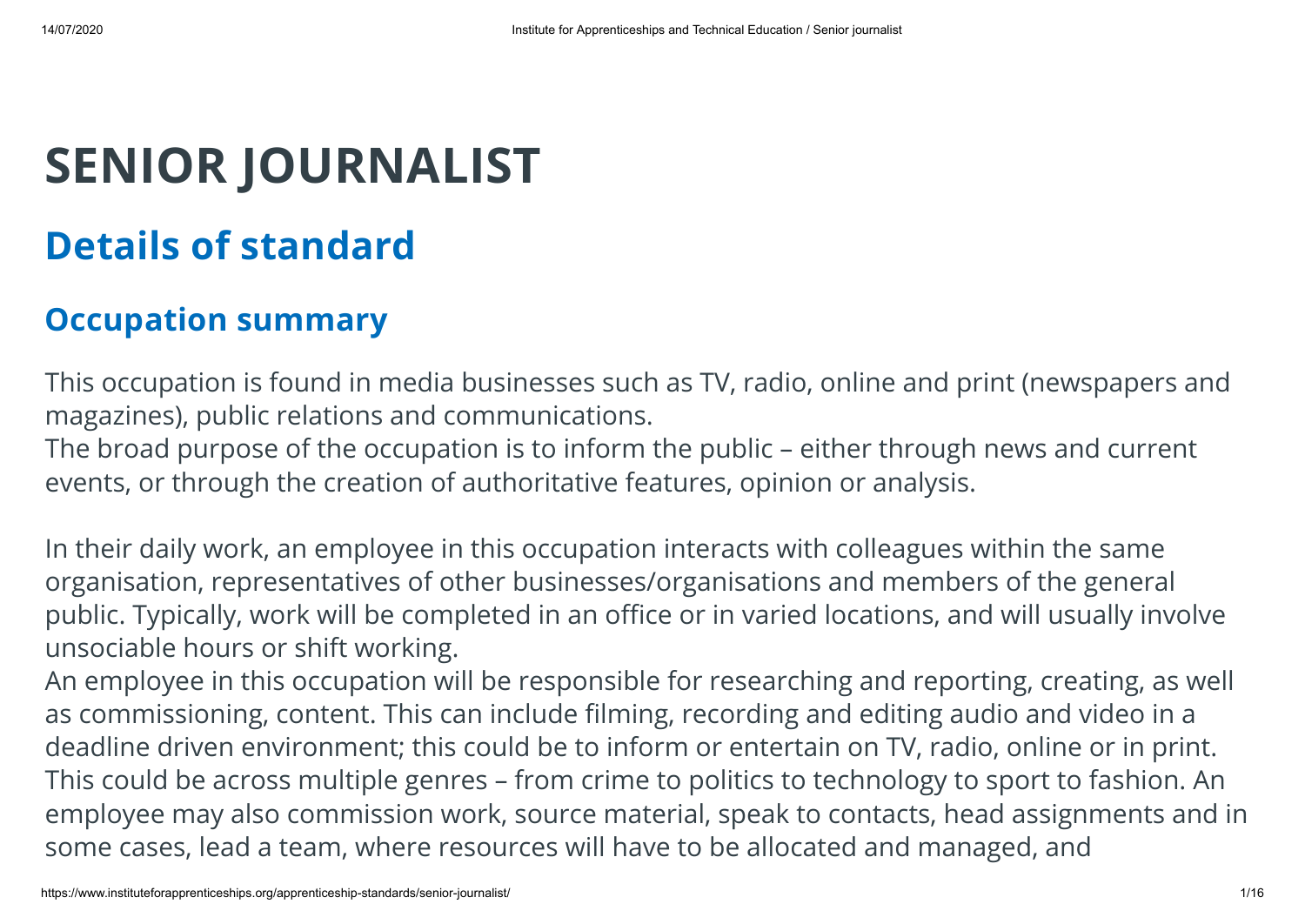# **SENIOR JOURNALIST**

## **Details of standard**

#### **Occupation summary**

This occupation is found in media businesses such as TV, radio, online and print (newspapers and magazines), public relations and communications.

The broad purpose of the occupation is to inform the public – either through news and current events, or through the creation of authoritative features, opinion or analysis.

In their daily work, an employee in this occupation interacts with colleagues within the same organisation, representatives of other businesses/organisations and members of the general public. Typically, work will be completed in an office or in varied locations, and will usually involve unsociable hours or shift working.

An employee in this occupation will be responsible for researching and reporting, creating, as well as commissioning, content. This can include filming, recording and editing audio and video in a deadline driven environment; this could be to inform or entertain on TV, radio, online or in print. This could be across multiple genres – from crime to politics to technology to sport to fashion. An employee may also commission work, source material, speak to contacts, head assignments and in some cases, lead a team, where resources will have to be allocated and managed, and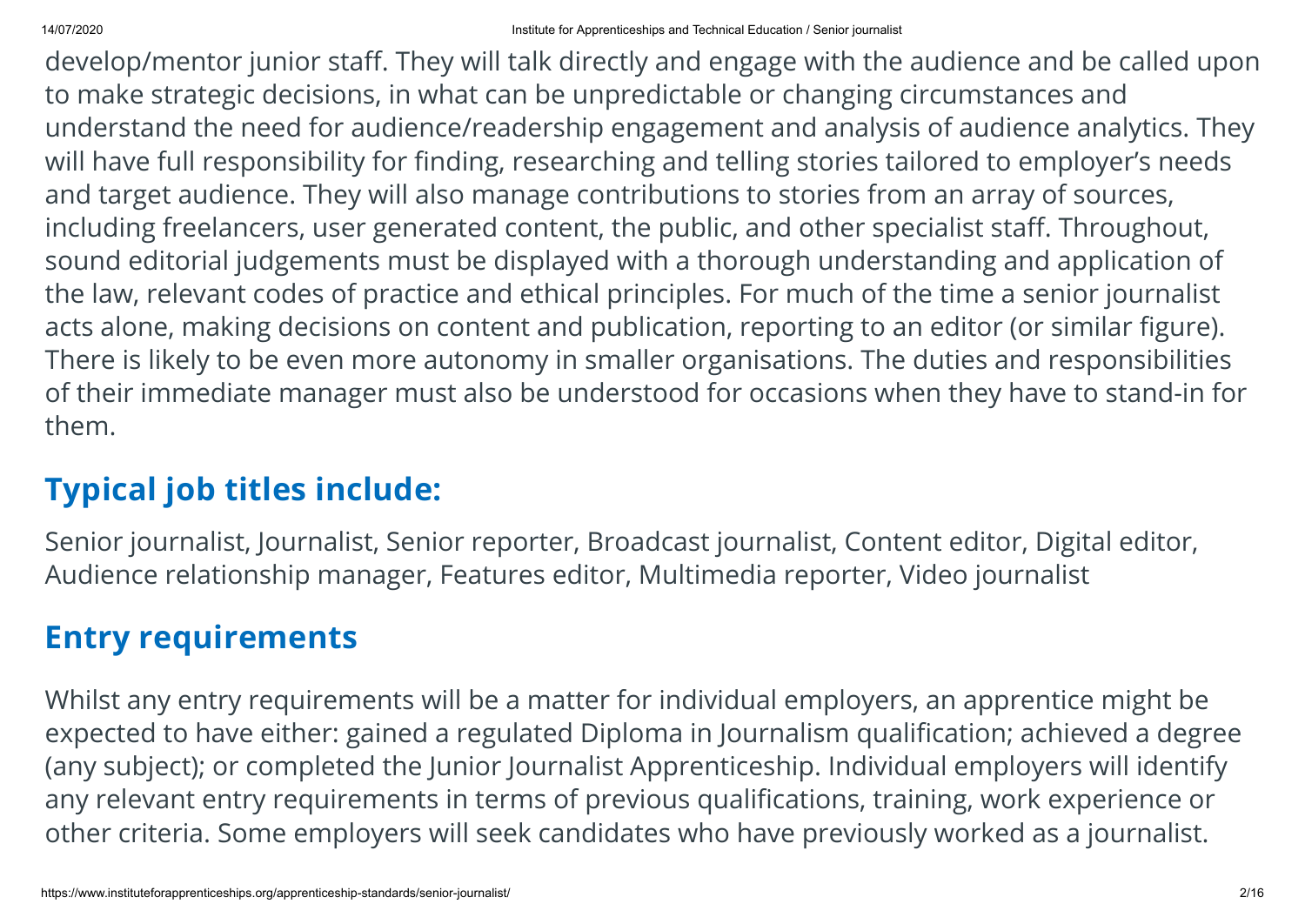develop/mentor junior staff. They will talk directly and engage with the audience and be called upon to make strategic decisions, in what can be unpredictable or changing circumstances and understand the need for audience/readership engagement and analysis of audience analytics. They will have full responsibility for finding, researching and telling stories tailored to employer's needs and target audience. They will also manage contributions to stories from an array of sources, including freelancers, user generated content, the public, and other specialist staff. Throughout, sound editorial judgements must be displayed with a thorough understanding and application of the law, relevant codes of practice and ethical principles. For much of the time a senior journalist acts alone, making decisions on content and publication, reporting to an editor (or similar figure). There is likely to be even more autonomy in smaller organisations. The duties and responsibilities of their immediate manager must also be understood for occasions when they have to stand-in for them.

#### **Typical job titles include:**

Senior journalist, Journalist, Senior reporter, Broadcast journalist, Content editor, Digital editor, Audience relationship manager, Features editor, Multimedia reporter, Video journalist

#### **Entry requirements**

Whilst any entry requirements will be a matter for individual employers, an apprentice might be expected to have either: gained a regulated Diploma in Journalism qualification; achieved a degree (any subject); or completed the Junior Journalist Apprenticeship. Individual employers will identify any relevant entry requirements in terms of previous qualifications, training, work experience or other criteria. Some employers will seek candidates who have previously worked as a journalist.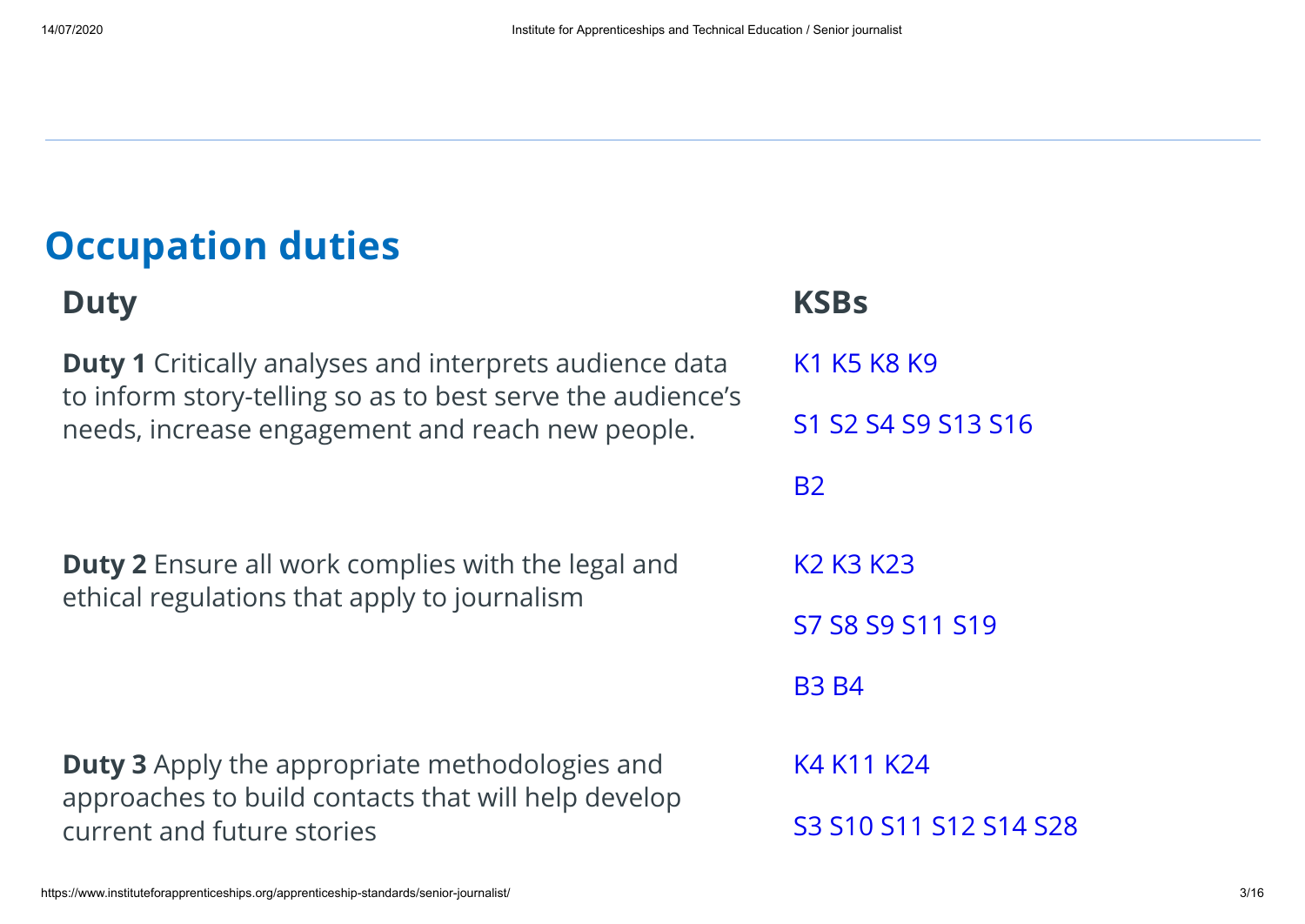## **Occupation duties**

#### **Duty KSBs**

**Duty 1** Critically analyses and interprets audience data to inform story-telling so as to best serve the audience's needs, increase engagement and reach new people.

**Duty 2** Ensure all work complies with the legal and ethical regulations that apply to journalism

**Duty 3** Apply the appropriate methodologies and approaches to build contacts that will help develop current and future stories

K1 K5 K8 K9 S1 S2 S4 S9 S13 S16 B2 K2 K3 K23 S7 S8 S9 S11 S19 B3 B4 K4 K11 K24 S3 S10 S11 S12 S14 S28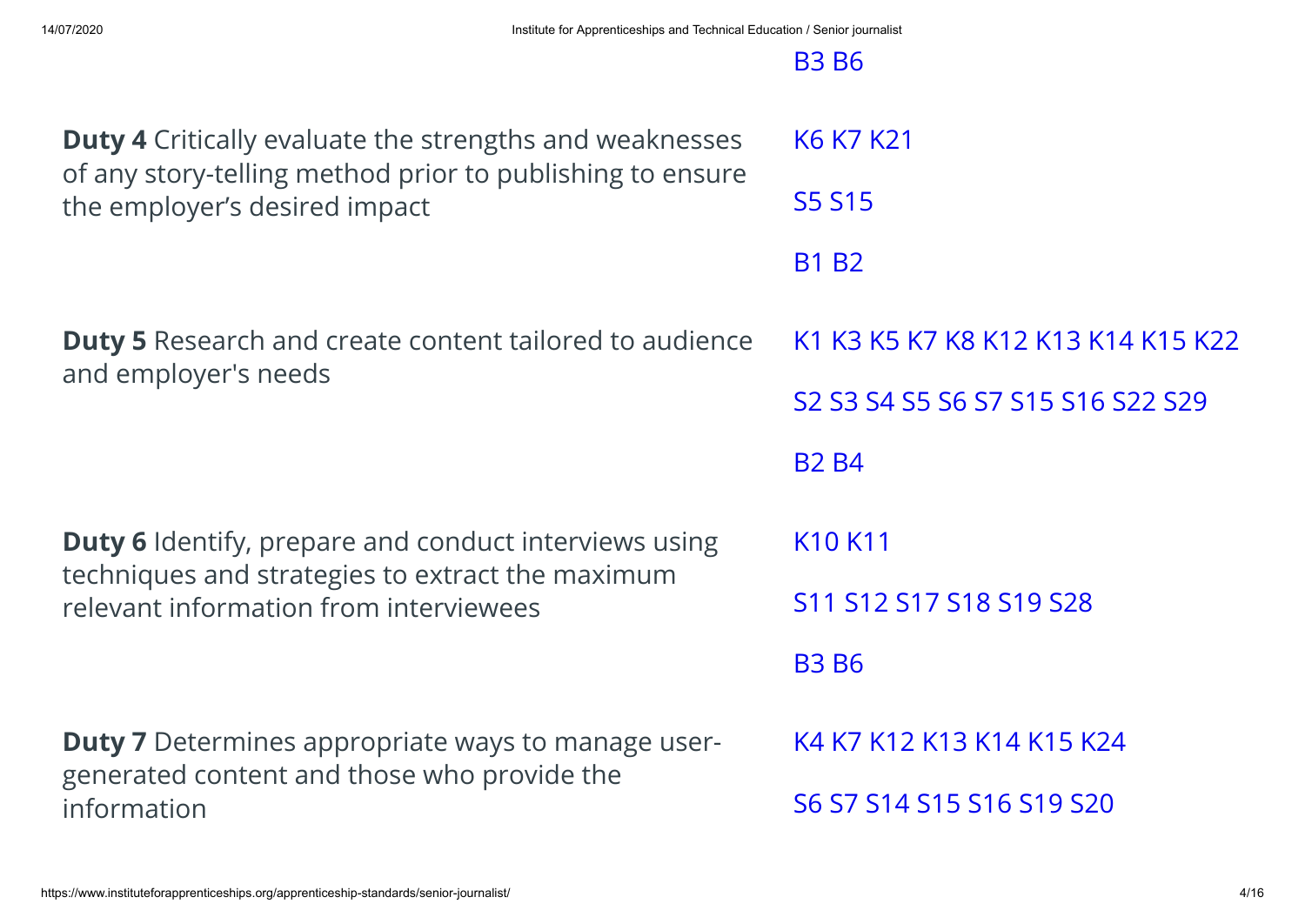| <b>Duty 4</b> Critically evaluate the strengths and weaknesses<br>of any story-telling method prior to publishing to ensure | K6 K7 K21                                                                                                                                                 |
|-----------------------------------------------------------------------------------------------------------------------------|-----------------------------------------------------------------------------------------------------------------------------------------------------------|
| the employer's desired impact                                                                                               | <b>S5 S15</b>                                                                                                                                             |
|                                                                                                                             | <b>B1 B2</b>                                                                                                                                              |
| <b>Duty 5</b> Research and create content tailored to audience                                                              | K1 K3 K5 K7 K8 K12 K13 K14 K15 K22                                                                                                                        |
| and employer's needs                                                                                                        | S <sub>2</sub> S <sub>3</sub> S <sub>4</sub> S <sub>5</sub> S <sub>6</sub> S <sub>7</sub> S <sub>15</sub> S <sub>16</sub> S <sub>22</sub> S <sub>29</sub> |
|                                                                                                                             | <b>B2 B4</b>                                                                                                                                              |
| <b>Duty 6</b> Identify, prepare and conduct interviews using                                                                | K <sub>10</sub> K <sub>11</sub>                                                                                                                           |
| techniques and strategies to extract the maximum<br>relevant information from interviewees                                  | S11 S12 S17 S18 S19 S28                                                                                                                                   |
|                                                                                                                             | <b>B3 B6</b>                                                                                                                                              |
| <b>Duty 7</b> Determines appropriate ways to manage user-                                                                   | K4 K7 K12 K13 K14 K15 K24                                                                                                                                 |
| generated content and those who provide the<br>information                                                                  | S6 S7 S14 S15 S16 S19 S20                                                                                                                                 |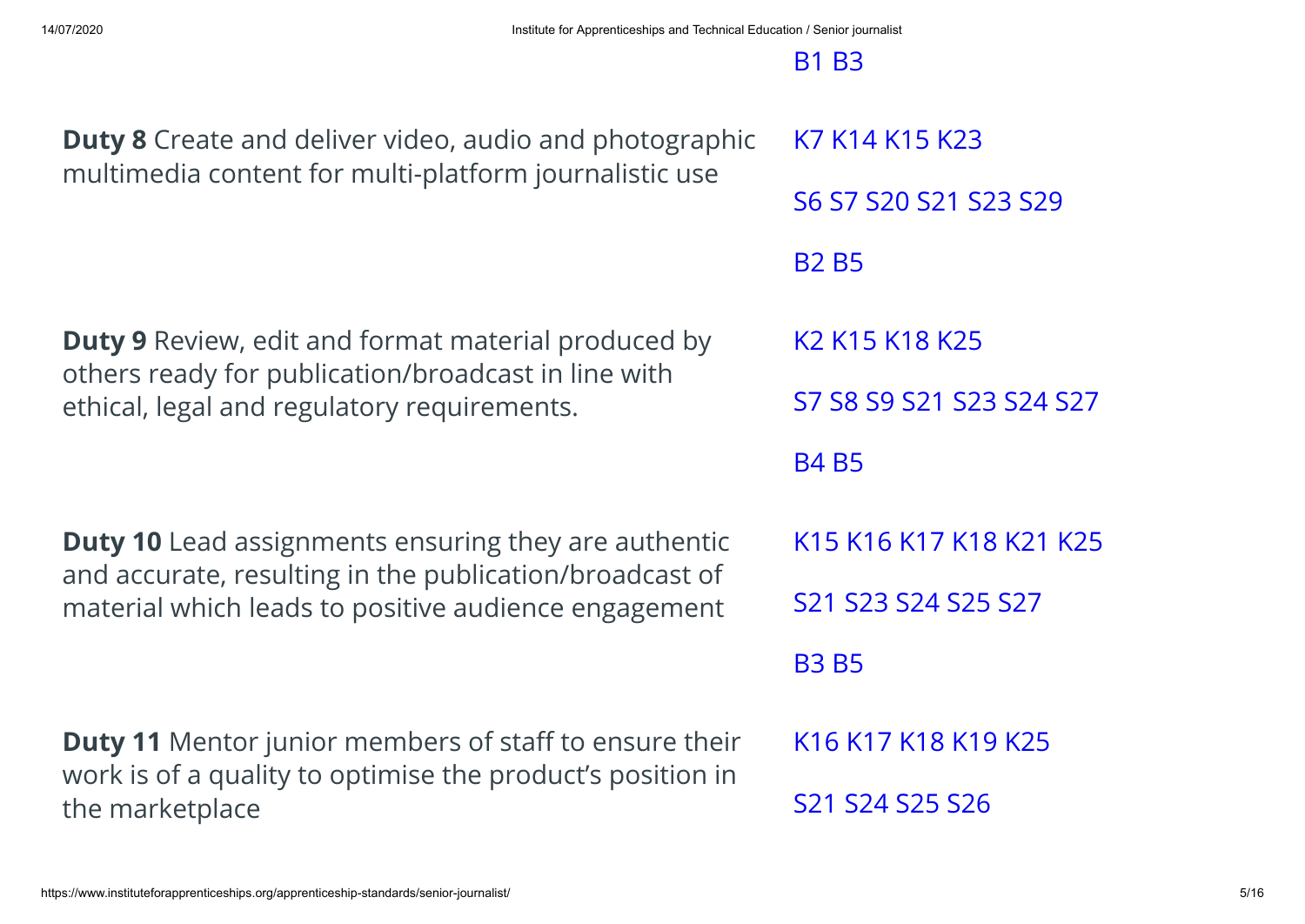| <b>Duty 8</b> Create and deliver video, audio and photographic                                                              | K7 K14 K15 K23                                                 |
|-----------------------------------------------------------------------------------------------------------------------------|----------------------------------------------------------------|
| multimedia content for multi-platform journalistic use                                                                      | S6 S7 S20 S21 S23 S29                                          |
|                                                                                                                             | <b>B2 B5</b>                                                   |
| <b>Duty 9</b> Review, edit and format material produced by                                                                  | K <sub>2</sub> K <sub>15</sub> K <sub>18</sub> K <sub>25</sub> |
| others ready for publication/broadcast in line with<br>ethical, legal and regulatory requirements.                          | S7 S8 S9 S21 S23 S24 S27                                       |
|                                                                                                                             | <b>B4 B5</b>                                                   |
| <b>Duty 10</b> Lead assignments ensuring they are authentic<br>and accurate, resulting in the publication/broadcast of      | K15 K16 K17 K18 K21 K25                                        |
| material which leads to positive audience engagement                                                                        | S21 S23 S24 S25 S27                                            |
|                                                                                                                             | <b>B3 B5</b>                                                   |
| <b>Duty 11</b> Mentor junior members of staff to ensure their<br>work is of a quality to optimise the product's position in | K16 K17 K18 K19 K25                                            |
| the marketplace                                                                                                             | S21 S24 S25 S26                                                |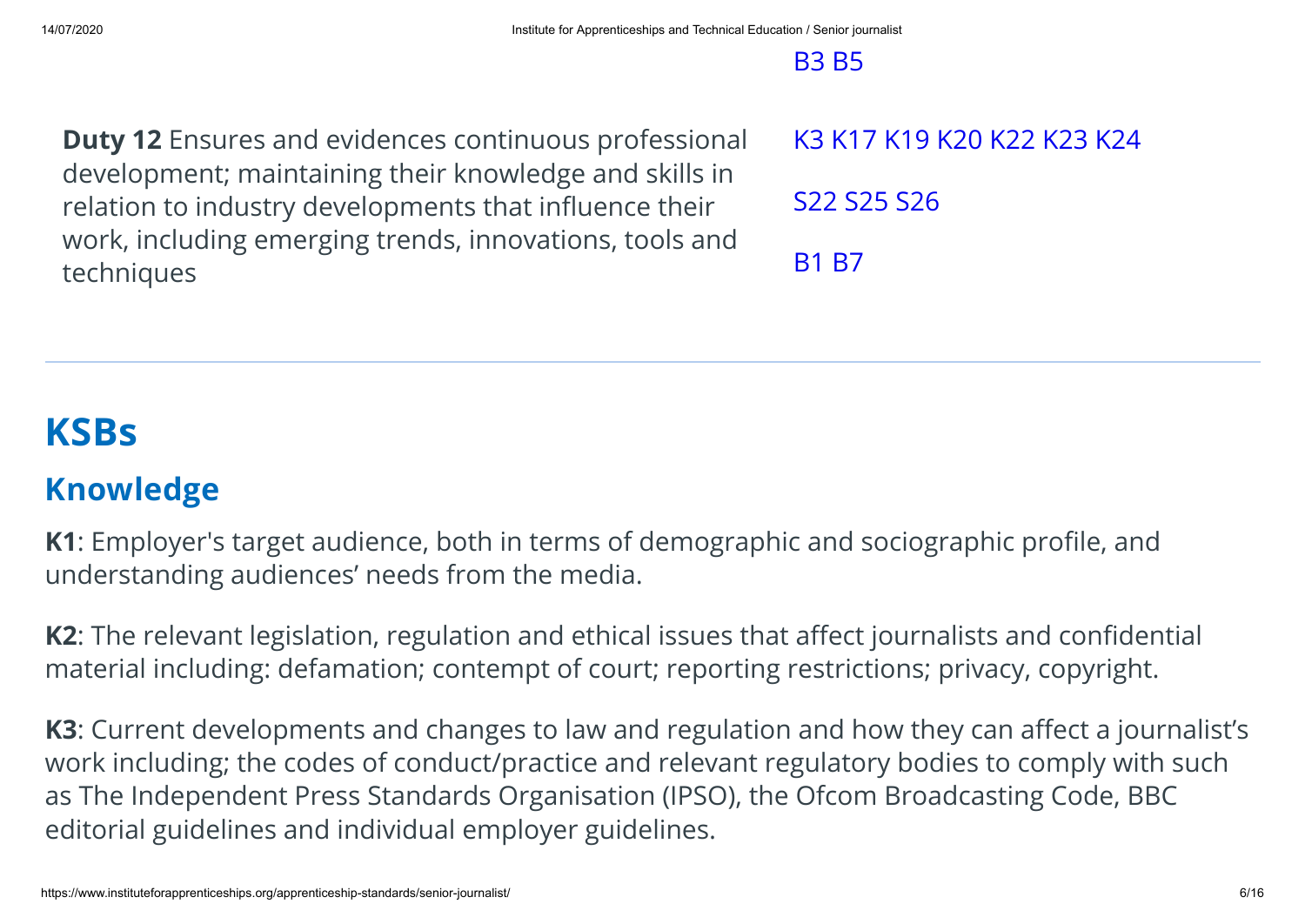#### B3 B5

**Duty 12** Ensures and evidences continuous professional development; maintaining their knowledge and skills in relation to industry developments that influence their work, including emerging trends, innovations, tools and techniques

K3 K17 K19 K20 K22 K23 K24 S22 S25 S26 B1 B7

## **KSBs**

#### **Knowledge**

**K1**: Employer's target audience, both in terms of demographic and sociographic profile, and understanding audiences' needs from the media.

K2: The relevant legislation, regulation and ethical issues that affect journalists and confidential material including: defamation; contempt of court; reporting restrictions; privacy, copyright.

**K3**: Current developments and changes to law and regulation and how they can affect a journalist's work including; the codes of conduct/practice and relevant regulatory bodies to comply with such as The Independent Press Standards Organisation (IPSO), the Ofcom Broadcasting Code, BBC editorial guidelines and individual employer guidelines.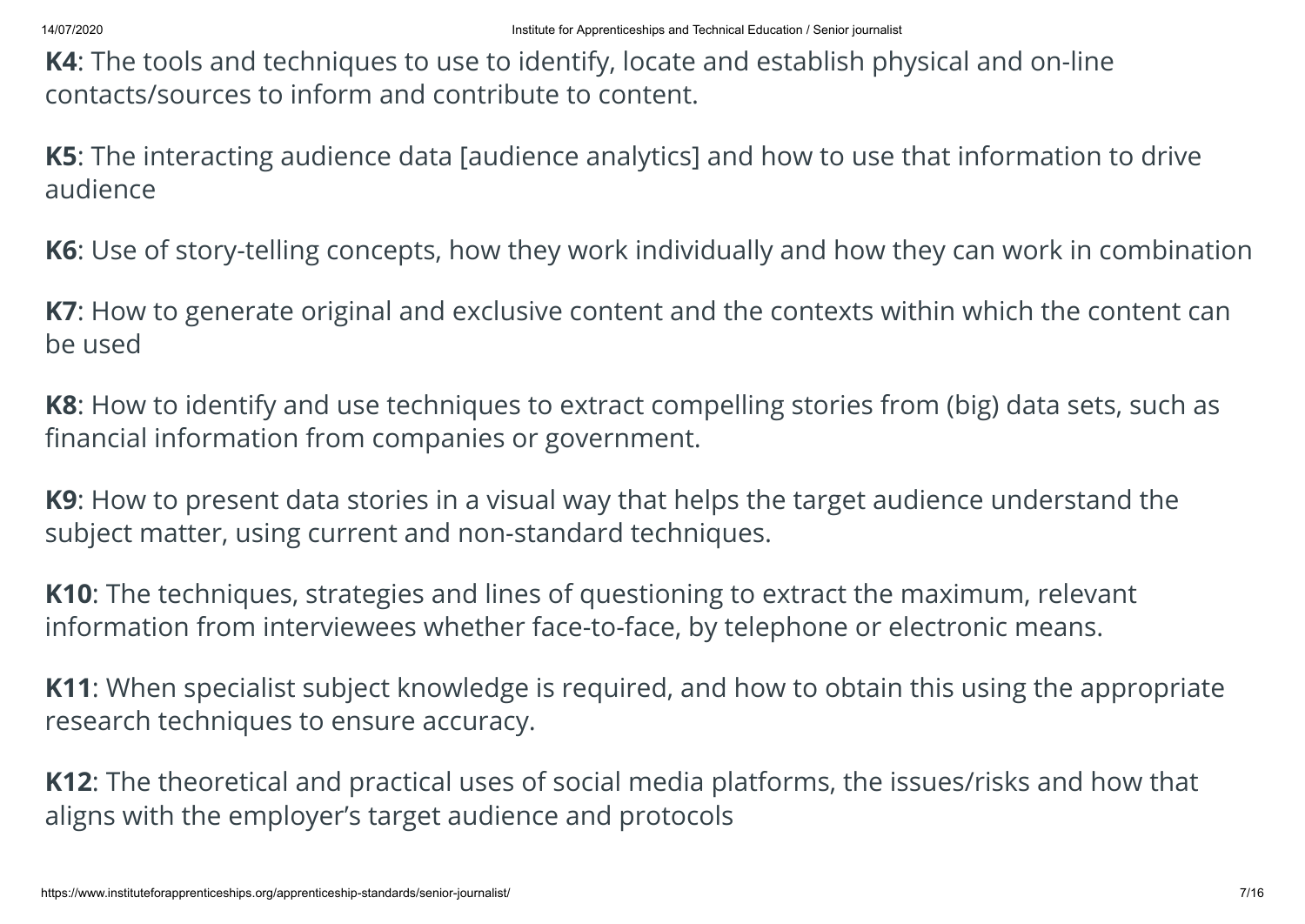**K4**: The tools and techniques to use to identify, locate and establish physical and on-line contacts/sources to inform and contribute to content.

**K5**: The interacting audience data [audience analytics] and how to use that information to drive audience

**K6**: Use of story-telling concepts, how they work individually and how they can work in combination

**K7**: How to generate original and exclusive content and the contexts within which the content can be used

**K8**: How to identify and use techniques to extract compelling stories from (big) data sets, such as financial information from companies or government.

**K9**: How to present data stories in a visual way that helps the target audience understand the subject matter, using current and non-standard techniques.

**K10**: The techniques, strategies and lines of questioning to extract the maximum, relevant information from interviewees whether face-to-face, by telephone or electronic means.

**K11**: When specialist subject knowledge is required, and how to obtain this using the appropriate research techniques to ensure accuracy.

**K12**: The theoretical and practical uses of social media platforms, the issues/risks and how that aligns with the employer's target audience and protocols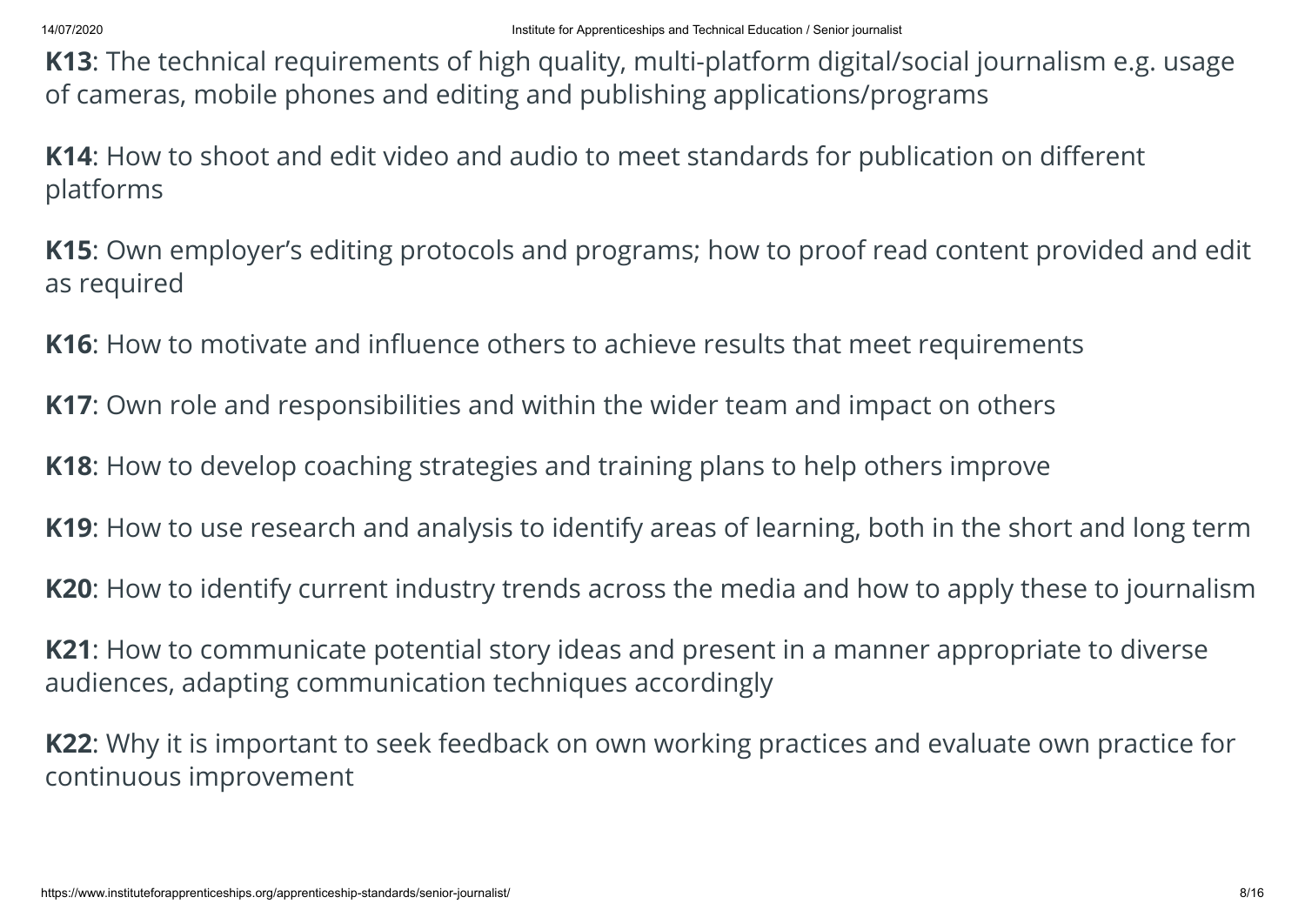**K13**: The technical requirements of high quality, multi-platform digital/social journalism e.g. usage of cameras, mobile phones and editing and publishing applications/programs

**K14:** How to shoot and edit video and audio to meet standards for publication on different platforms

**K15**: Own employer's editing protocols and programs; how to proof read content provided and edit as required

**K16**: How to motivate and influence others to achieve results that meet requirements

**K17**: Own role and responsibilities and within the wider team and impact on others

**K18**: How to develop coaching strategies and training plans to help others improve

**K19**: How to use research and analysis to identify areas of learning, both in the short and long term

**K20**: How to identify current industry trends across the media and how to apply these to journalism

**K21**: How to communicate potential story ideas and present in a manner appropriate to diverse audiences, adapting communication techniques accordingly

**K22**: Why it is important to seek feedback on own working practices and evaluate own practice for continuous improvement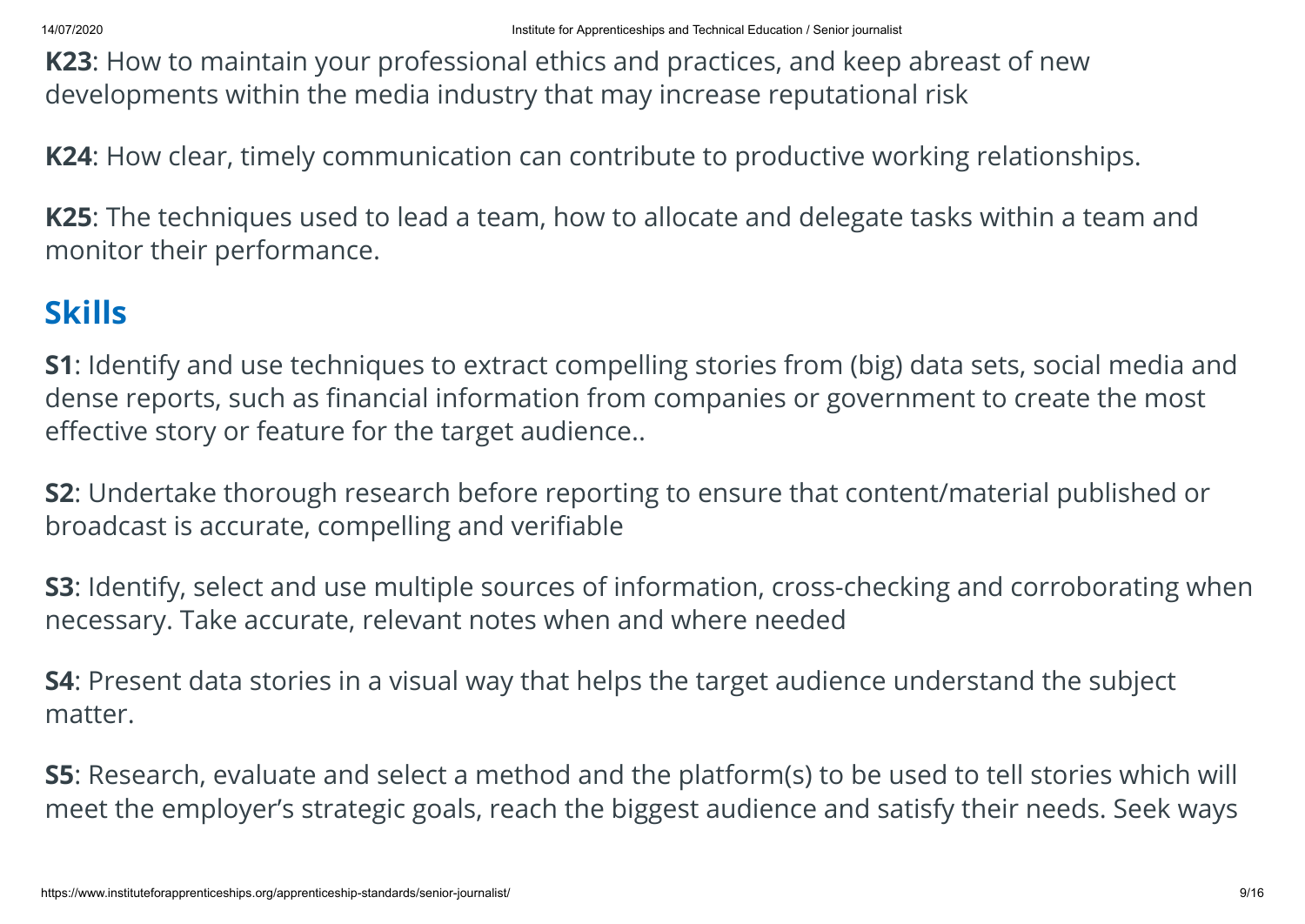**K23**: How to maintain your professional ethics and practices, and keep abreast of new developments within the media industry that may increase reputational risk

**K24**: How clear, timely communication can contribute to productive working relationships.

**K25**: The techniques used to lead a team, how to allocate and delegate tasks within a team and monitor their performance.

#### **Skills**

**S1**: Identify and use techniques to extract compelling stories from (big) data sets, social media and dense reports, such as financial information from companies or government to create the most effective story or feature for the target audience..

**S2**: Undertake thorough research before reporting to ensure that content/material published or broadcast is accurate, compelling and verifiable

**S3**: Identify, select and use multiple sources of information, cross-checking and corroborating when necessary. Take accurate, relevant notes when and where needed

**S4**: Present data stories in a visual way that helps the target audience understand the subject matter.

**S5**: Research, evaluate and select a method and the platform(s) to be used to tell stories which will meet the employer's strategic goals, reach the biggest audience and satisfy their needs. Seek ways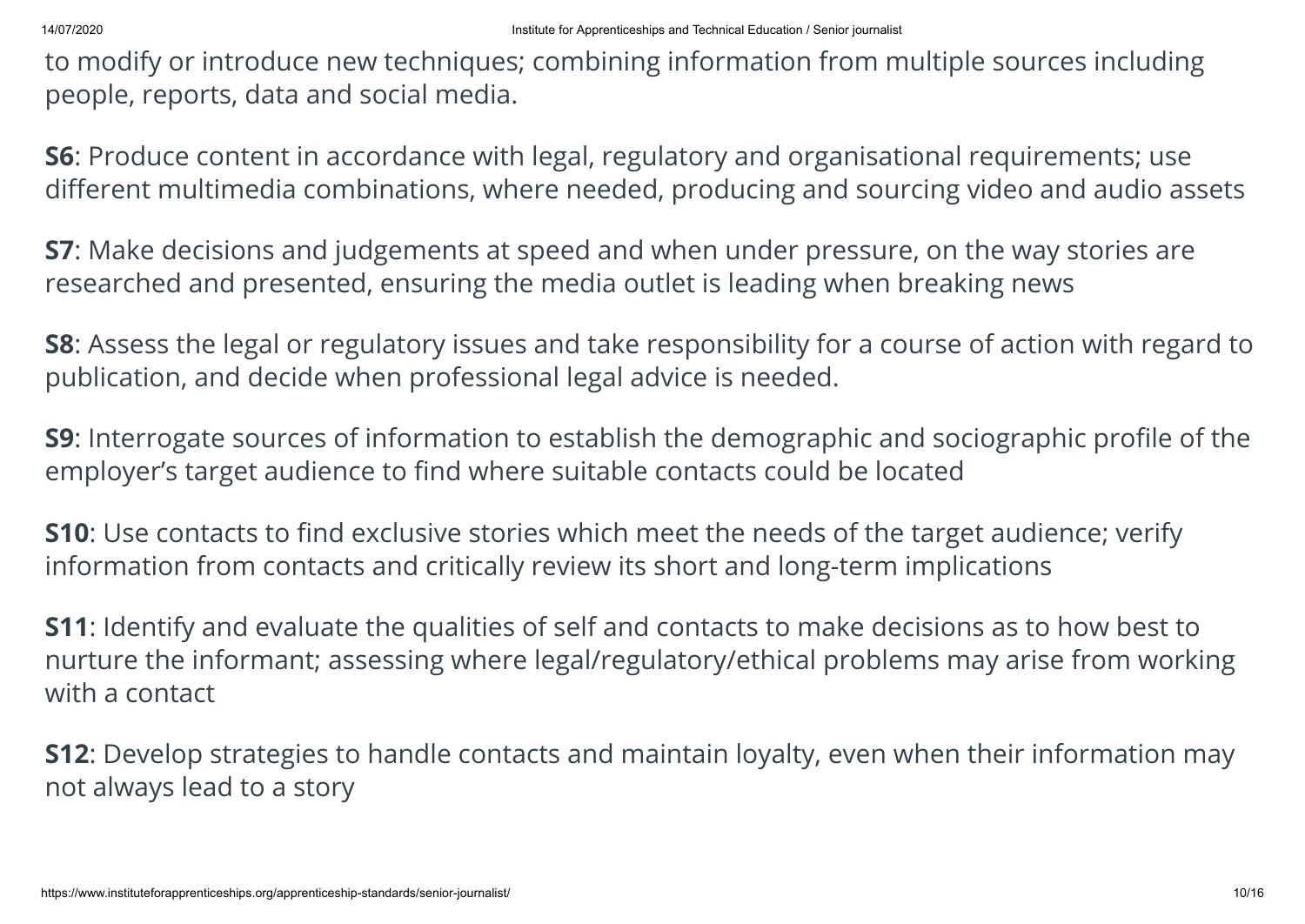to modify or introduce new techniques; combining information from multiple sources including people, reports, data and social media.

**S6**: Produce content in accordance with legal, regulatory and organisational requirements; use different multimedia combinations, where needed, producing and sourcing video and audio assets

**S7**: Make decisions and judgements at speed and when under pressure, on the way stories are researched and presented, ensuring the media outlet is leading when breaking news

**S8**: Assess the legal or regulatory issues and take responsibility for a course of action with regard to publication, and decide when professional legal advice is needed.

**S9**: Interrogate sources of information to establish the demographic and sociographic profile of the employer's target audience to find where suitable contacts could be located

**S10**: Use contacts to find exclusive stories which meet the needs of the target audience; verify information from contacts and critically review its short and long-term implications

**S11**: Identify and evaluate the qualities of self and contacts to make decisions as to how best to nurture the informant; assessing where legal/regulatory/ethical problems may arise from working with a contact

**S12**: Develop strategies to handle contacts and maintain loyalty, even when their information may not always lead to a story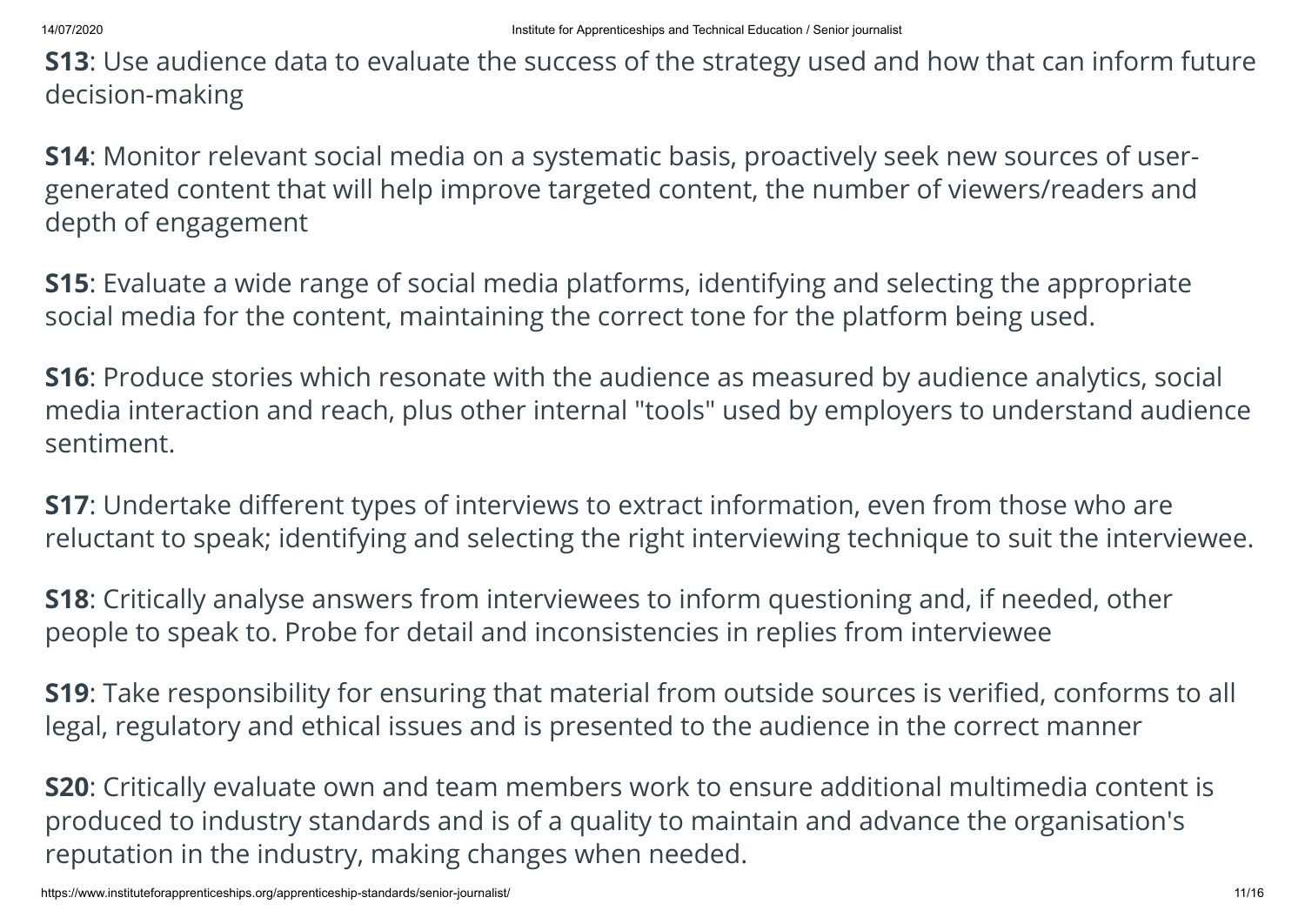**S13**: Use audience data to evaluate the success of the strategy used and how that can inform future decision-making

**S14**: Monitor relevant social media on a systematic basis, proactively seek new sources of usergenerated content that will help improve targeted content, the number of viewers/readers and depth of engagement

**S15**: Evaluate a wide range of social media platforms, identifying and selecting the appropriate social media for the content, maintaining the correct tone for the platform being used.

**S16**: Produce stories which resonate with the audience as measured by audience analytics, social media interaction and reach, plus other internal "tools" used by employers to understand audience sentiment.

**S17**: Undertake different types of interviews to extract information, even from those who are reluctant to speak; identifying and selecting the right interviewing technique to suit the interviewee.

**S18**: Critically analyse answers from interviewees to inform questioning and, if needed, other people to speak to. Probe for detail and inconsistencies in replies from interviewee

**S19**: Take responsibility for ensuring that material from outside sources is verified, conforms to all legal, regulatory and ethical issues and is presented to the audience in the correct manner

**S20**: Critically evaluate own and team members work to ensure additional multimedia content is produced to industry standards and is of a quality to maintain and advance the organisation's reputation in the industry, making changes when needed.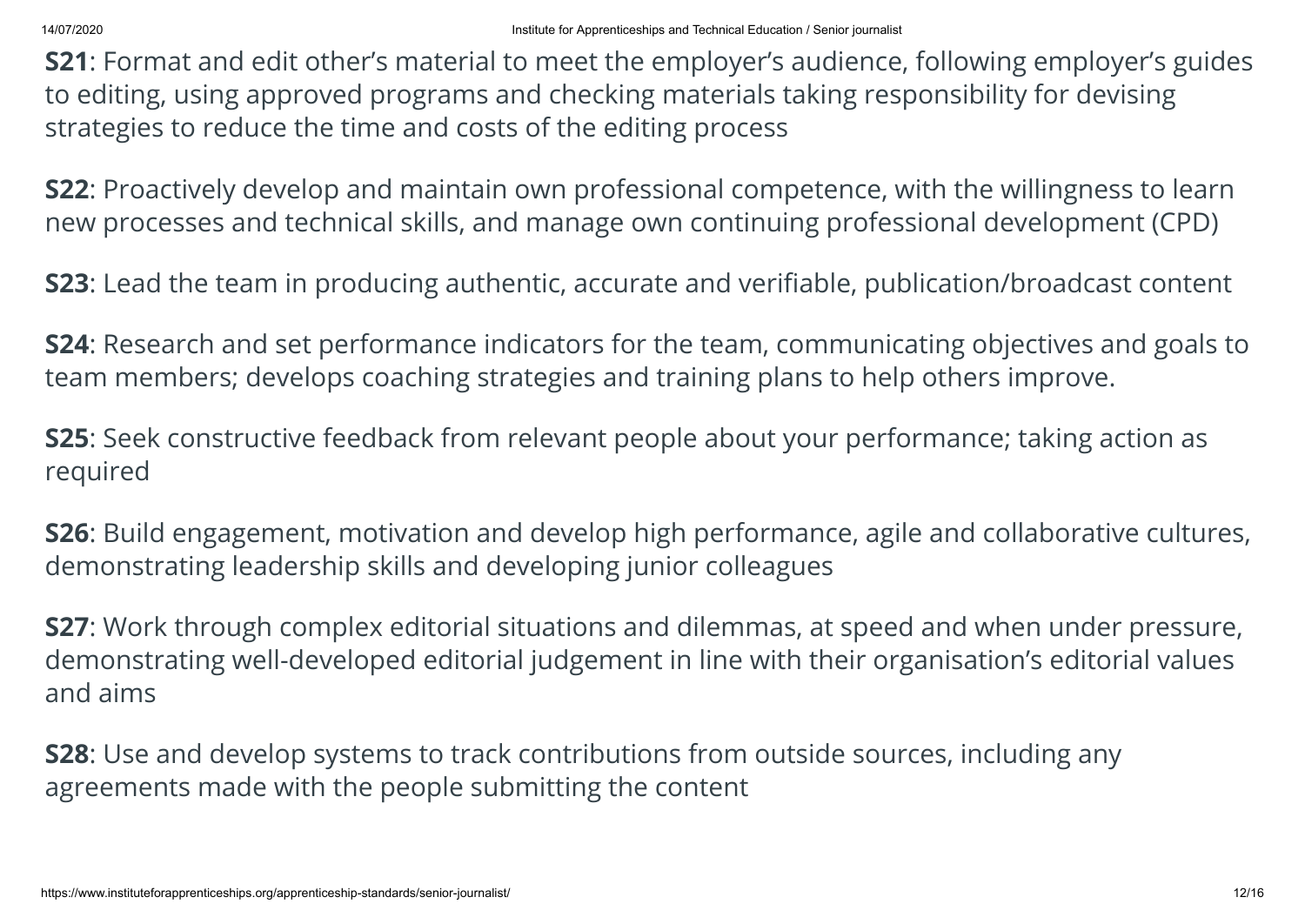**S21**: Format and edit other's material to meet the employer's audience, following employer's guides to editing, using approved programs and checking materials taking responsibility for devising strategies to reduce the time and costs of the editing process

**S22**: Proactively develop and maintain own professional competence, with the willingness to learn new processes and technical skills, and manage own continuing professional development (CPD)

**S23**: Lead the team in producing authentic, accurate and verifiable, publication/broadcast content

**S24**: Research and set performance indicators for the team, communicating objectives and goals to team members; develops coaching strategies and training plans to help others improve.

**S25**: Seek constructive feedback from relevant people about your performance; taking action as required

**S26**: Build engagement, motivation and develop high performance, agile and collaborative cultures, demonstrating leadership skills and developing junior colleagues

**S27**: Work through complex editorial situations and dilemmas, at speed and when under pressure, demonstrating well-developed editorial judgement in line with their organisation's editorial values and aims

**S28**: Use and develop systems to track contributions from outside sources, including any agreements made with the people submitting the content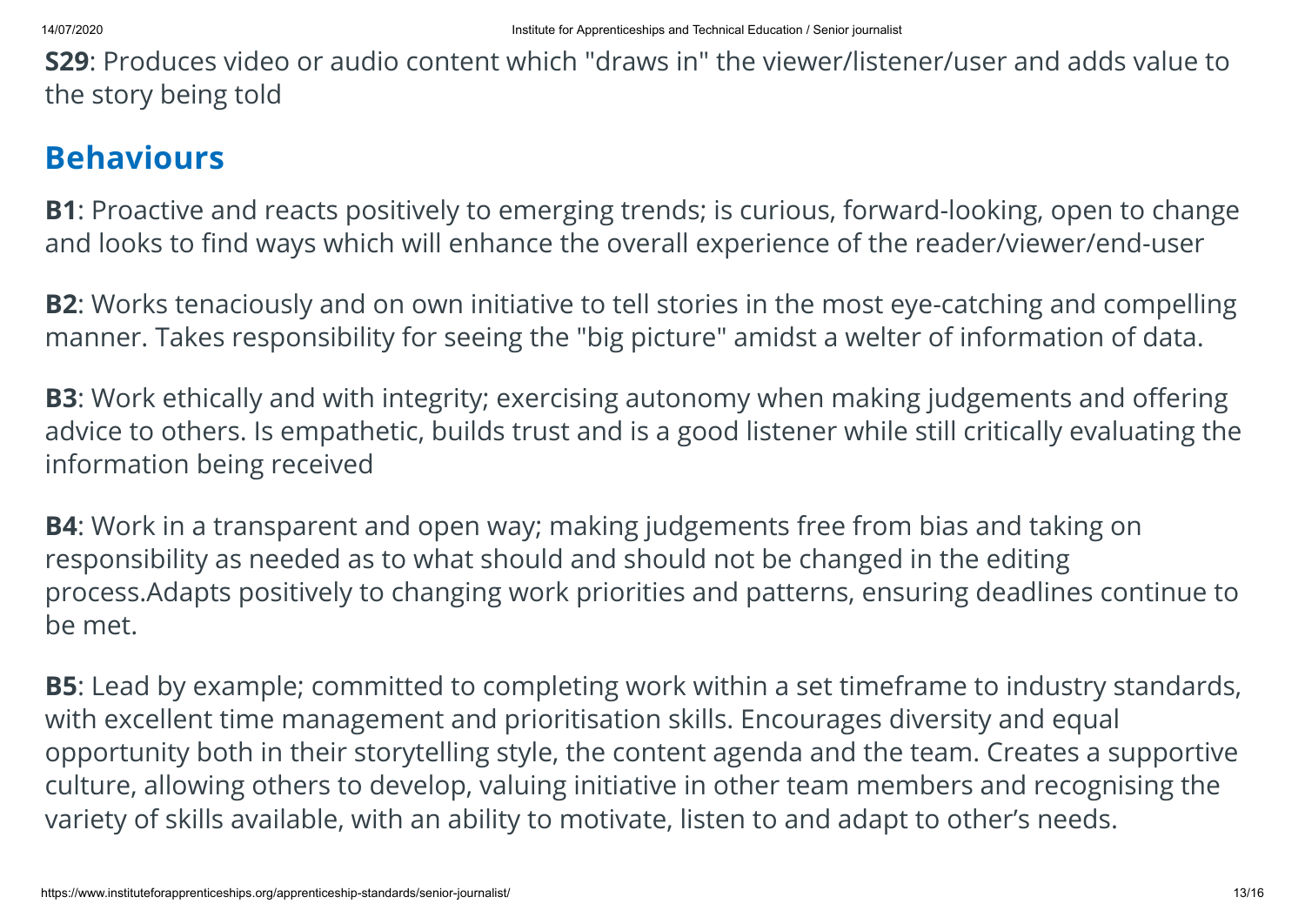**S29**: Produces video or audio content which "draws in" the viewer/listener/user and adds value to the story being told

#### **Behaviours**

**B1**: Proactive and reacts positively to emerging trends; is curious, forward-looking, open to change and looks to find ways which will enhance the overall experience of the reader/viewer/end-user

**B2**: Works tenaciously and on own initiative to tell stories in the most eye-catching and compelling manner. Takes responsibility for seeing the "big picture" amidst a welter of information of data.

**B3**: Work ethically and with integrity; exercising autonomy when making judgements and offering advice to others. Is empathetic, builds trust and is a good listener while still critically evaluating the information being received

**B4**: Work in a transparent and open way; making judgements free from bias and taking on responsibility as needed as to what should and should not be changed in the editing process.Adapts positively to changing work priorities and patterns, ensuring deadlines continue to be met.

**B5**: Lead by example; committed to completing work within a set timeframe to industry standards, with excellent time management and prioritisation skills. Encourages diversity and equal opportunity both in their storytelling style, the content agenda and the team. Creates a supportive culture, allowing others to develop, valuing initiative in other team members and recognising the variety of skills available, with an ability to motivate, listen to and adapt to other's needs.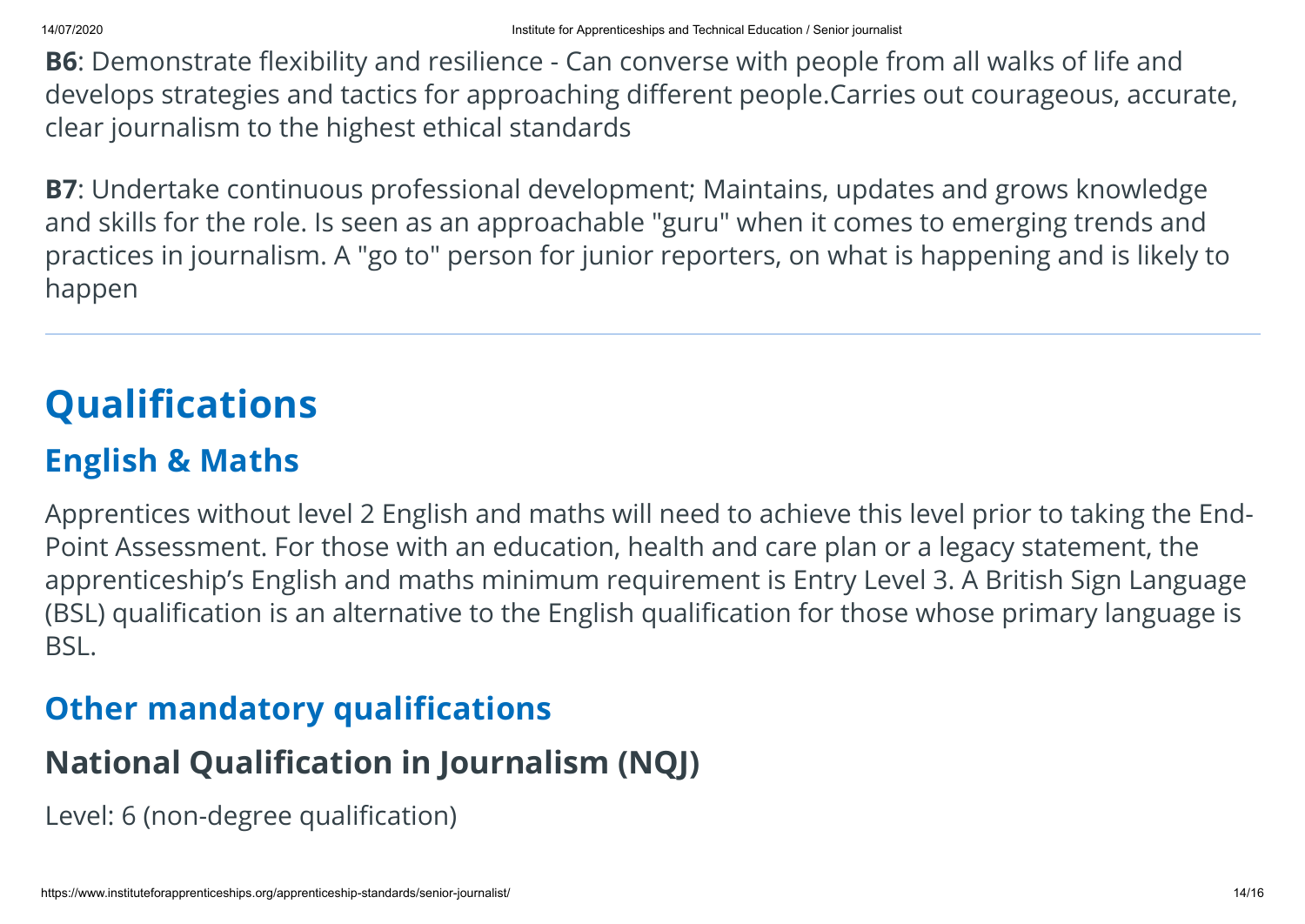**B6**: Demonstrate flexibility and resilience - Can converse with people from all walks of life and develops strategies and tactics for approaching different people.Carries out courageous, accurate, clear journalism to the highest ethical standards

**B7**: Undertake continuous professional development; Maintains, updates and grows knowledge and skills for the role. Is seen as an approachable "guru" when it comes to emerging trends and practices in journalism. A "go to" person for junior reporters, on what is happening and is likely to happen

## **Qualifications**

### **English & Maths**

Apprentices without level 2 English and maths will need to achieve this level prior to taking the End-Point Assessment. For those with an education, health and care plan or a legacy statement, the apprenticeship's English and maths minimum requirement is Entry Level 3. A British Sign Language (BSL) qualification is an alternative to the English qualification for those whose primary language is BSL.

#### **Other mandatory qualifications**

#### **National Qualification in Journalism (NQJ)**

Level: 6 (non-degree qualification)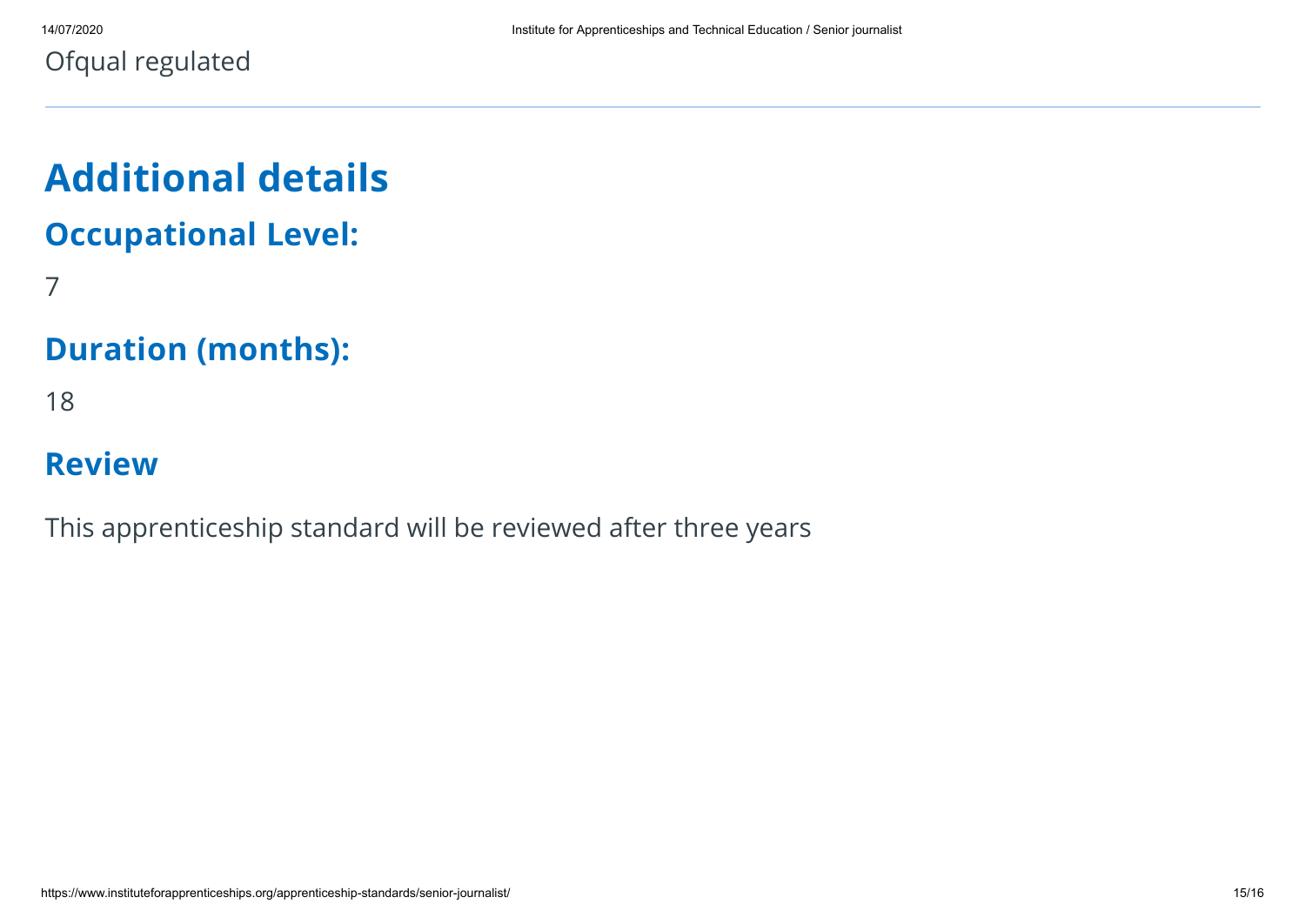Ofqual regulated

# **Additional details Occupational Level:**

7

#### **Duration (months):**

18

#### **Review**

This apprenticeship standard will be reviewed after three years